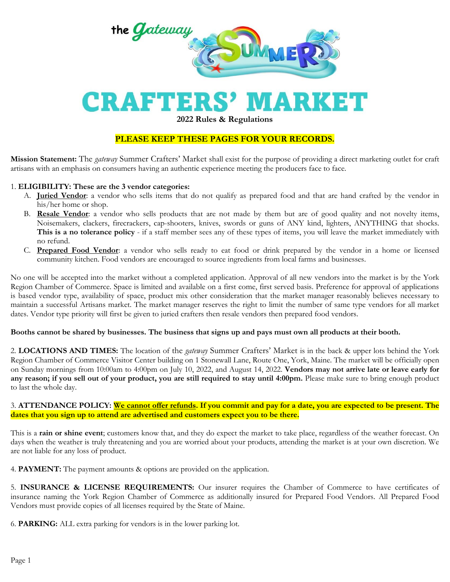

# **CRAFTERS** MARKET

**2022 Rules & Regulations** 

## **PLEASE KEEP THESE PAGES FOR YOUR RECORDS.**

**Mission Statement:** The *gateway* Summer Crafters' Market shall exist for the purpose of providing a direct marketing outlet for craft artisans with an emphasis on consumers having an authentic experience meeting the producers face to face.

### 1. **ELIGIBILITY: These are the 3 vendor categories:**

- A. **Juried Vendor**: a vendor who sells items that do not qualify as prepared food and that are hand crafted by the vendor in his/her home or shop.
- B. **Resale Vendor**: a vendor who sells products that are not made by them but are of good quality and not novelty items, Noisemakers, clackers, firecrackers, cap-shooters, knives, swords or guns of ANY kind, lighters, ANYTHING that shocks. **This is a no tolerance policy** - if a staff member sees any of these types of items, you will leave the market immediately with no refund.
- C. **Prepared Food Vendor**: a vendor who sells ready to eat food or drink prepared by the vendor in a home or licensed community kitchen. Food vendors are encouraged to source ingredients from local farms and businesses.

No one will be accepted into the market without a completed application. Approval of all new vendors into the market is by the York Region Chamber of Commerce. Space is limited and available on a first come, first served basis. Preference for approval of applications is based vendor type, availability of space, product mix other consideration that the market manager reasonably believes necessary to maintain a successful Artisans market. The market manager reserves the right to limit the number of same type vendors for all market dates. Vendor type priority will first be given to juried crafters then resale vendors then prepared food vendors.

#### **Booths cannot be shared by businesses. The business that signs up and pays must own all products at their booth.**

2. **LOCATIONS AND TIMES:** The location of the *gateway* Summer Crafters' Market is in the back & upper lots behind the York Region Chamber of Commerce Visitor Center building on 1 Stonewall Lane, Route One, York, Maine. The market will be officially open on Sunday mornings from 10:00am to 4:00pm on July 10, 2022, and August 14, 2022. **Vendors may not arrive late or leave early for any reason; if you sell out of your product, you are still required to stay until 4:00pm.** Please make sure to bring enough product to last the whole day.

#### 3. **ATTENDANCE POLICY: We cannot offer refunds. If you commit and pay for a date, you are expected to be present. The dates that you sign up to attend are advertised and customers expect you to be there.**

This is a **rain or shine event**; customers know that, and they do expect the market to take place, regardless of the weather forecast. On days when the weather is truly threatening and you are worried about your products, attending the market is at your own discretion. We are not liable for any loss of product.

4. **PAYMENT:** The payment amounts & options are provided on the application.

5. **INSURANCE & LICENSE REQUIREMENTS:** Our insurer requires the Chamber of Commerce to have certificates of insurance naming the York Region Chamber of Commerce as additionally insured for Prepared Food Vendors. All Prepared Food Vendors must provide copies of all licenses required by the State of Maine.

6. **PARKING:** ALL extra parking for vendors is in the lower parking lot.